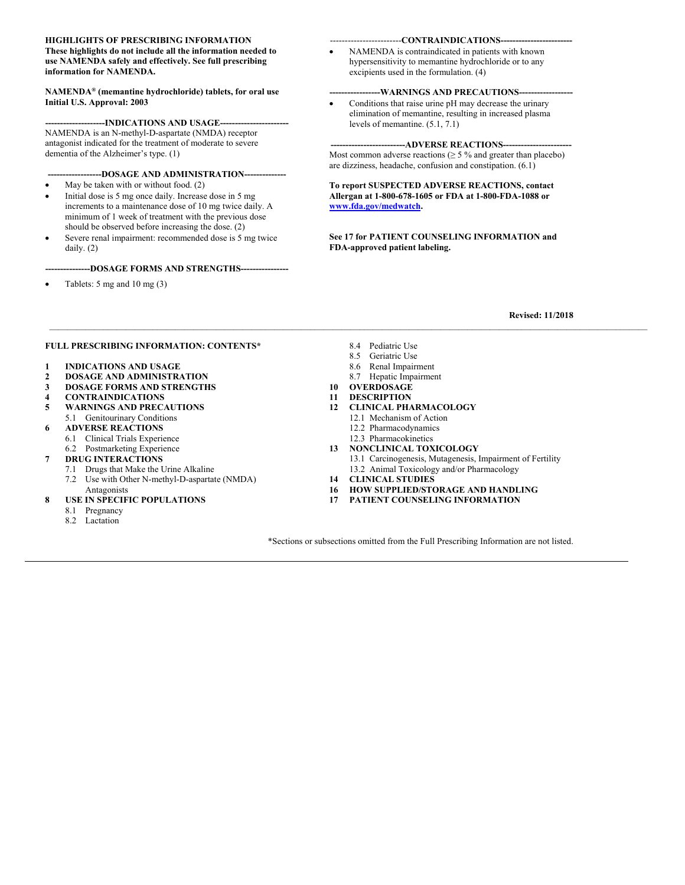#### **HIGHLIGHTS OF PRESCRIBING INFORMATION These highlights do not include all the information needed to use NAMENDA safely and effectively. See full prescribing information for NAMENDA.**

**NAMENDA® (memantine hydrochloride) tablets, for oral use Initial U.S. Approval: 2003** 

---INDICATIONS AND USAGE--NAMENDA is an N-methyl-D-aspartate (NMDA) receptor antagonist indicated for the treatment of moderate to severe dementia of the Alzheimer's type. (1)

**------------------DOSAGE AND ADMINISTRATION--------------** 

- May be taken with or without food. (2)
- Initial dose is 5 mg once daily. Increase dose in 5 mg increments to a maintenance dose of 10 mg twice daily. A minimum of 1 week of treatment with the previous dose should be observed before increasing the dose. (2)
- Severe renal impairment: recommended dose is 5 mg twice daily. (2)

#### **---------------DOSAGE FORMS AND STRENGTHS----------------**

Tablets: 5 mg and 10 mg (3)

#### ------------------------**CONTRAINDICATIONS------------------------**

 NAMENDA is contraindicated in patients with known hypersensitivity to memantine hydrochloride or to any excipients used in the formulation. (4)

#### ---WARNINGS AND PRECAUTIONS---

 Conditions that raise urine pH may decrease the urinary elimination of memantine, resulting in increased plasma levels of memantine. (5.1, 7.1)

**-------------------------ADVERSE REACTIONS-----------------------** 

Most common adverse reactions ( $\geq$  5 % and greater than placebo) are dizziness, headache, confusion and constipation. (6.1)

**To report SUSPECTED ADVERSE REACTIONS, contact Allergan at 1-800-678-1605 or FDA at 1-800-FDA-1088 or www.fda.gov/medwatch.** 

**See 17 for PATIENT COUNSELING INFORMATION and FDA-approved patient labeling.** 

#### **Revised: 11/2018**

#### **FULL PRESCRIBING INFORMATION: CONTENTS\***

- **1 INDICATIONS AND USAGE**
- **2 DOSAGE AND ADMINISTRATION**
- **3 DOSAGE FORMS AND STRENGTHS**
- **4 CONTRAINDICATIONS**
- **5 WARNINGS AND PRECAUTIONS**  5.1 Genitourinary Conditions
- **6 ADVERSE REACTIONS**
- 6.1 Clinical Trials Experience
- 6.2 Postmarketing Experience
- **7 DRUG INTERACTIONS** 
	- 7.1 Drugs that Make the Urine Alkaline
	- 7.2 Use with Other N-methyl-D-aspartate (NMDA) Antagonists
- **8 USE IN SPECIFIC POPULATIONS** 
	- 8.1 Pregnancy
	- 8.2 Lactation

8.4 Pediatric Use

 $\mathcal{L} = \{ \mathcal{L} = \{ \mathcal{L} = \{ \mathcal{L} = \{ \mathcal{L} = \{ \mathcal{L} = \{ \mathcal{L} = \{ \mathcal{L} = \{ \mathcal{L} = \{ \mathcal{L} = \{ \mathcal{L} = \{ \mathcal{L} = \{ \mathcal{L} = \{ \mathcal{L} = \{ \mathcal{L} = \{ \mathcal{L} = \{ \mathcal{L} = \{ \mathcal{L} = \{ \mathcal{L} = \{ \mathcal{L} = \{ \mathcal{L} = \{ \mathcal{L} = \{ \mathcal{L} = \{ \mathcal{L} = \{ \mathcal{$ 

- 8.5 Geriatric Use
- 8.6 Renal Impairment
- 8.7 Hepatic Impairment
- **10 OVERDOSAGE**
- **11 DESCRIPTION**
- **12 CLINICAL PHARMACOLOGY** 
	- 12.1 Mechanism of Action
	- 12.2 Pharmacodynamics
	- 12.3 Pharmacokinetics
- **13 NONCLINICAL TOXICOLOGY** 
	- 13.1 Carcinogenesis, Mutagenesis, Impairment of Fertility
	- 13.2 Animal Toxicology and/or Pharmacology
- **14 CLINICAL STUDIES**
- **16 HOW SUPPLIED/STORAGE AND HANDLING**
- **17 PATIENT COUNSELING INFORMATION**

\*Sections or subsections omitted from the Full Prescribing Information are not listed.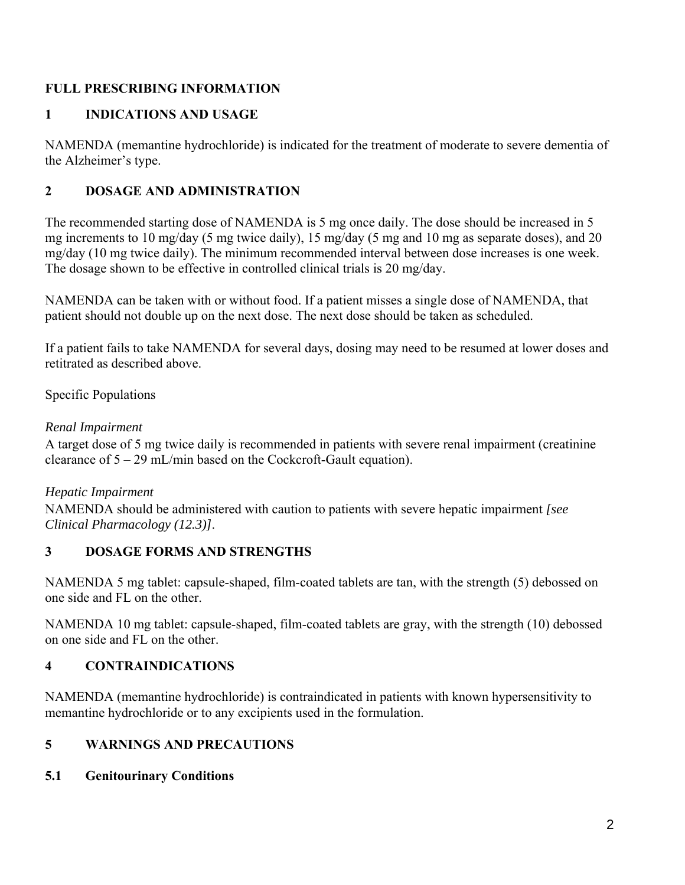## **FULL PRESCRIBING INFORMATION**

#### **1 INDICATIONS AND USAGE**

NAMENDA (memantine hydrochloride) is indicated for the treatment of moderate to severe dementia of the Alzheimer's type.

#### **2 DOSAGE AND ADMINISTRATION**

The recommended starting dose of NAMENDA is 5 mg once daily. The dose should be increased in 5 mg increments to 10 mg/day (5 mg twice daily), 15 mg/day (5 mg and 10 mg as separate doses), and 20 mg/day (10 mg twice daily). The minimum recommended interval between dose increases is one week. The dosage shown to be effective in controlled clinical trials is 20 mg/day.

NAMENDA can be taken with or without food. If a patient misses a single dose of NAMENDA, that patient should not double up on the next dose. The next dose should be taken as scheduled.

If a patient fails to take NAMENDA for several days, dosing may need to be resumed at lower doses and retitrated as described above.

Specific Populations

#### *Renal Impairment*

A target dose of 5 mg twice daily is recommended in patients with severe renal impairment (creatinine clearance of 5 – 29 mL/min based on the Cockcroft-Gault equation).

#### *Hepatic Impairment*

NAMENDA should be administered with caution to patients with severe hepatic impairment *[see Clinical Pharmacology (12.3)]*.

#### **3 DOSAGE FORMS AND STRENGTHS**

NAMENDA 5 mg tablet: capsule-shaped, film-coated tablets are tan, with the strength (5) debossed on one side and FL on the other.

NAMENDA 10 mg tablet: capsule-shaped, film-coated tablets are gray, with the strength (10) debossed on one side and FL on the other.

## **4 CONTRAINDICATIONS**

NAMENDA (memantine hydrochloride) is contraindicated in patients with known hypersensitivity to memantine hydrochloride or to any excipients used in the formulation.

## **5 WARNINGS AND PRECAUTIONS**

#### **5.1 Genitourinary Conditions**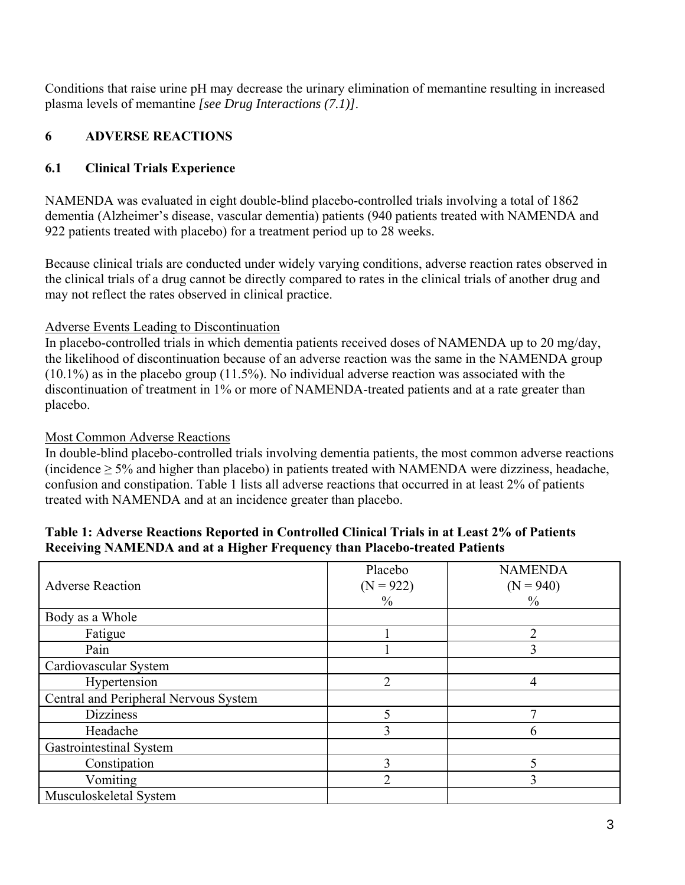Conditions that raise urine pH may decrease the urinary elimination of memantine resulting in increased plasma levels of memantine *[see Drug Interactions (7.1)]*.

# **6 ADVERSE REACTIONS**

# **6.1 Clinical Trials Experience**

NAMENDA was evaluated in eight double-blind placebo-controlled trials involving a total of 1862 dementia (Alzheimer's disease, vascular dementia) patients (940 patients treated with NAMENDA and 922 patients treated with placebo) for a treatment period up to 28 weeks.

Because clinical trials are conducted under widely varying conditions, adverse reaction rates observed in the clinical trials of a drug cannot be directly compared to rates in the clinical trials of another drug and may not reflect the rates observed in clinical practice.

# Adverse Events Leading to Discontinuation

In placebo-controlled trials in which dementia patients received doses of NAMENDA up to 20 mg/day, the likelihood of discontinuation because of an adverse reaction was the same in the NAMENDA group (10.1%) as in the placebo group (11.5%). No individual adverse reaction was associated with the discontinuation of treatment in 1% or more of NAMENDA-treated patients and at a rate greater than placebo.

# Most Common Adverse Reactions

In double-blind placebo-controlled trials involving dementia patients, the most common adverse reactions (incidence ≥ 5% and higher than placebo) in patients treated with NAMENDA were dizziness, headache, confusion and constipation. Table 1 lists all adverse reactions that occurred in at least 2% of patients treated with NAMENDA and at an incidence greater than placebo.

| <b>Adverse Reaction</b>               | Placebo<br>$(N = 922)$<br>$\frac{0}{0}$ | <b>NAMENDA</b><br>$(N = 940)$<br>$\frac{0}{0}$ |
|---------------------------------------|-----------------------------------------|------------------------------------------------|
| Body as a Whole                       |                                         |                                                |
| Fatigue                               |                                         | 2                                              |
| Pain                                  |                                         |                                                |
| Cardiovascular System                 |                                         |                                                |
| Hypertension                          | $\overline{2}$                          | 4                                              |
| Central and Peripheral Nervous System |                                         |                                                |
| <b>Dizziness</b>                      | 5                                       | ⇁                                              |
| Headache                              | 3                                       | 6                                              |
| Gastrointestinal System               |                                         |                                                |
| Constipation                          | 3                                       |                                                |
| Vomiting                              | $\overline{2}$                          | 3                                              |
| Musculoskeletal System                |                                         |                                                |

#### **Table 1: Adverse Reactions Reported in Controlled Clinical Trials in at Least 2% of Patients Receiving NAMENDA and at a Higher Frequency than Placebo-treated Patients**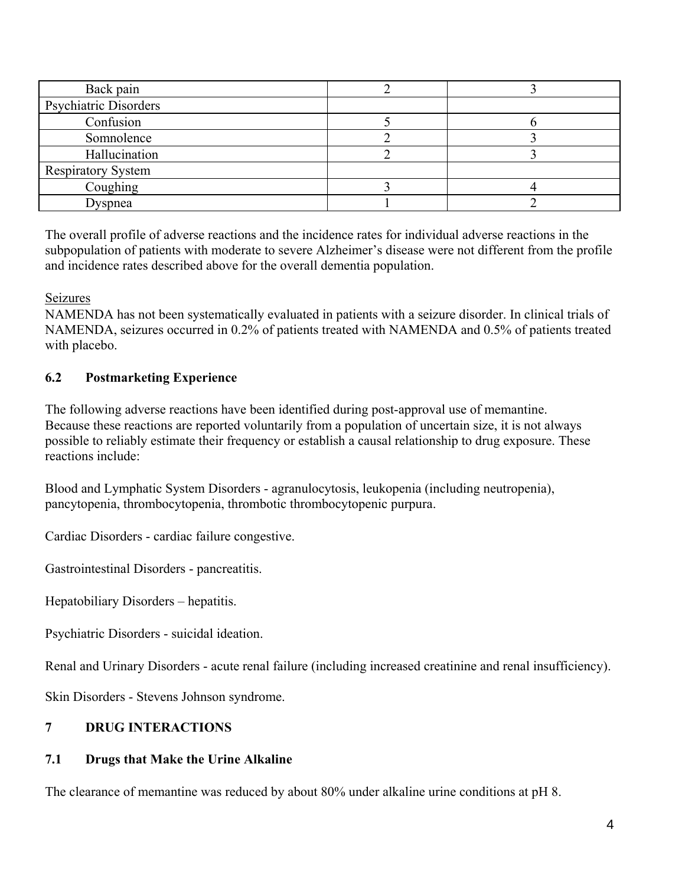| Back pain                 |  |
|---------------------------|--|
| Psychiatric Disorders     |  |
| Confusion                 |  |
| Somnolence                |  |
| Hallucination             |  |
| <b>Respiratory System</b> |  |
| Coughing                  |  |
| Dyspnea                   |  |

The overall profile of adverse reactions and the incidence rates for individual adverse reactions in the subpopulation of patients with moderate to severe Alzheimer's disease were not different from the profile and incidence rates described above for the overall dementia population.

Seizures

NAMENDA has not been systematically evaluated in patients with a seizure disorder. In clinical trials of NAMENDA, seizures occurred in 0.2% of patients treated with NAMENDA and 0.5% of patients treated with placebo.

# **6.2 Postmarketing Experience**

The following adverse reactions have been identified during post-approval use of memantine. Because these reactions are reported voluntarily from a population of uncertain size, it is not always possible to reliably estimate their frequency or establish a causal relationship to drug exposure. These reactions include:

Blood and Lymphatic System Disorders - agranulocytosis, leukopenia (including neutropenia), pancytopenia, thrombocytopenia, thrombotic thrombocytopenic purpura.

Cardiac Disorders - cardiac failure congestive.

Gastrointestinal Disorders - pancreatitis.

Hepatobiliary Disorders – hepatitis.

Psychiatric Disorders - suicidal ideation.

Renal and Urinary Disorders - acute renal failure (including increased creatinine and renal insufficiency).

Skin Disorders - Stevens Johnson syndrome.

# **7 DRUG INTERACTIONS**

# **7.1 Drugs that Make the Urine Alkaline**

The clearance of memantine was reduced by about 80% under alkaline urine conditions at pH 8.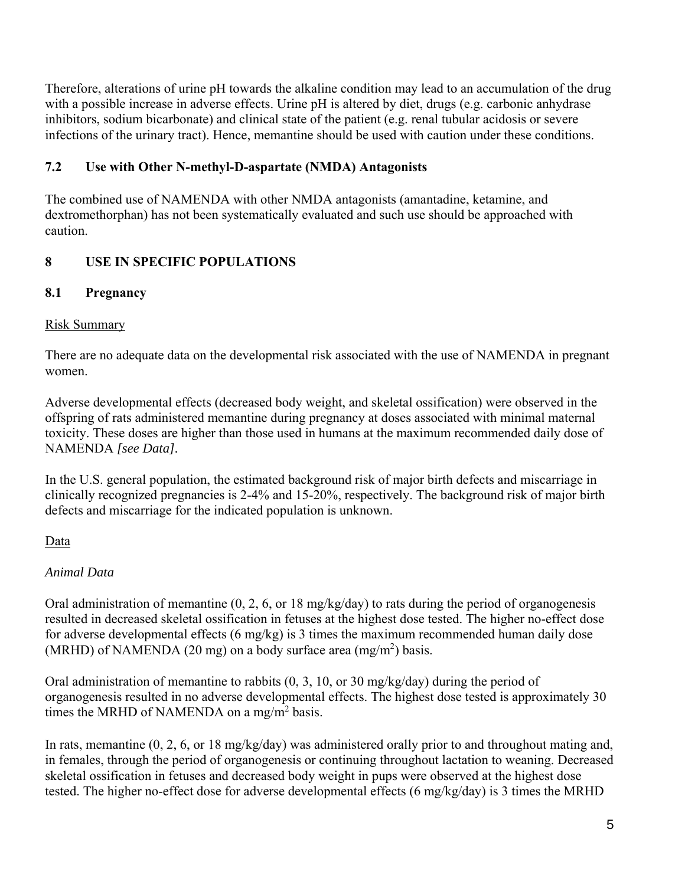Therefore, alterations of urine pH towards the alkaline condition may lead to an accumulation of the drug with a possible increase in adverse effects. Urine pH is altered by diet, drugs (e.g. carbonic anhydrase inhibitors, sodium bicarbonate) and clinical state of the patient (e.g. renal tubular acidosis or severe infections of the urinary tract). Hence, memantine should be used with caution under these conditions.

# **7.2 Use with Other N-methyl-D-aspartate (NMDA) Antagonists**

The combined use of NAMENDA with other NMDA antagonists (amantadine, ketamine, and dextromethorphan) has not been systematically evaluated and such use should be approached with caution.

# **8 USE IN SPECIFIC POPULATIONS**

# **8.1 Pregnancy**

# Risk Summary

There are no adequate data on the developmental risk associated with the use of NAMENDA in pregnant women.

Adverse developmental effects (decreased body weight, and skeletal ossification) were observed in the offspring of rats administered memantine during pregnancy at doses associated with minimal maternal toxicity. These doses are higher than those used in humans at the maximum recommended daily dose of NAMENDA *[see Data].*

In the U.S. general population, the estimated background risk of major birth defects and miscarriage in clinically recognized pregnancies is 2-4% and 15-20%, respectively. The background risk of major birth defects and miscarriage for the indicated population is unknown.

# Data

# *Animal Data*

Oral administration of memantine (0, 2, 6, or 18 mg/kg/day) to rats during the period of organogenesis resulted in decreased skeletal ossification in fetuses at the highest dose tested. The higher no-effect dose for adverse developmental effects (6 mg/kg) is 3 times the maximum recommended human daily dose (MRHD) of NAMENDA (20 mg) on a body surface area  $(mg/m<sup>2</sup>)$  basis.

Oral administration of memantine to rabbits (0, 3, 10, or 30 mg/kg/day) during the period of organogenesis resulted in no adverse developmental effects. The highest dose tested is approximately 30 times the MRHD of NAMENDA on a mg/m<sup>2</sup> basis.

In rats, memantine (0, 2, 6, or 18 mg/kg/day) was administered orally prior to and throughout mating and, in females, through the period of organogenesis or continuing throughout lactation to weaning. Decreased skeletal ossification in fetuses and decreased body weight in pups were observed at the highest dose tested. The higher no-effect dose for adverse developmental effects (6 mg/kg/day) is 3 times the MRHD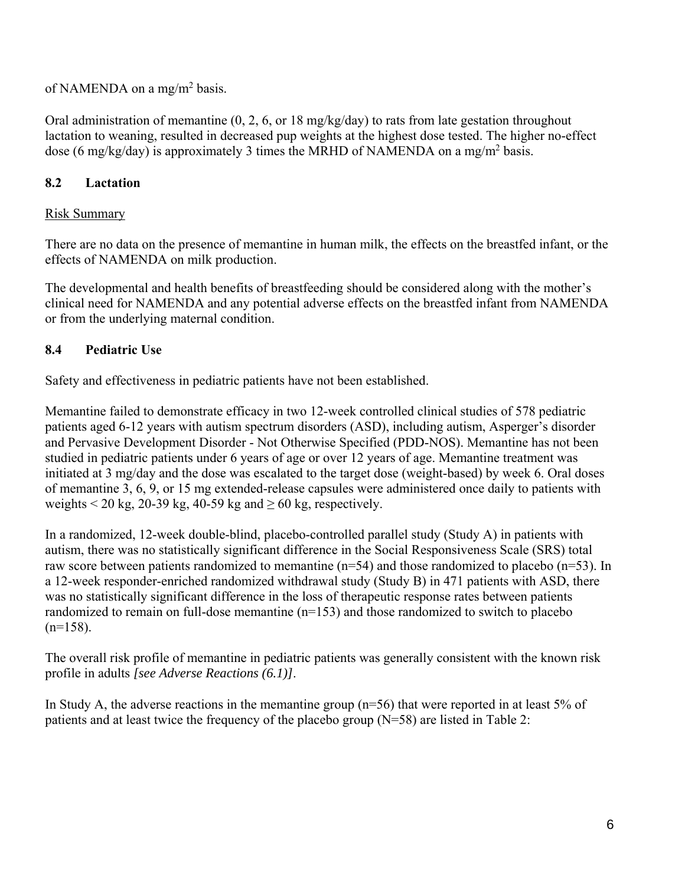of NAMENDA on a mg/m<sup>2</sup> basis.

Oral administration of memantine (0, 2, 6, or 18 mg/kg/day) to rats from late gestation throughout lactation to weaning, resulted in decreased pup weights at the highest dose tested. The higher no-effect dose (6 mg/kg/day) is approximately 3 times the MRHD of NAMENDA on a mg/m<sup>2</sup> basis.

# **8.2 Lactation**

# Risk Summary

There are no data on the presence of memantine in human milk, the effects on the breastfed infant, or the effects of NAMENDA on milk production.

The developmental and health benefits of breastfeeding should be considered along with the mother's clinical need for NAMENDA and any potential adverse effects on the breastfed infant from NAMENDA or from the underlying maternal condition.

# **8.4 Pediatric Use**

Safety and effectiveness in pediatric patients have not been established.

Memantine failed to demonstrate efficacy in two 12-week controlled clinical studies of 578 pediatric patients aged 6-12 years with autism spectrum disorders (ASD), including autism, Asperger's disorder and Pervasive Development Disorder - Not Otherwise Specified (PDD-NOS). Memantine has not been studied in pediatric patients under 6 years of age or over 12 years of age. Memantine treatment was initiated at 3 mg/day and the dose was escalated to the target dose (weight-based) by week 6. Oral doses of memantine 3, 6, 9, or 15 mg extended-release capsules were administered once daily to patients with weights  $\leq 20$  kg, 20-39 kg, 40-59 kg and  $\geq 60$  kg, respectively.

In a randomized, 12-week double-blind, placebo-controlled parallel study (Study A) in patients with autism, there was no statistically significant difference in the Social Responsiveness Scale (SRS) total raw score between patients randomized to memantine (n=54) and those randomized to placebo (n=53). In a 12-week responder-enriched randomized withdrawal study (Study B) in 471 patients with ASD, there was no statistically significant difference in the loss of therapeutic response rates between patients randomized to remain on full-dose memantine (n=153) and those randomized to switch to placebo  $(n=158)$ .

The overall risk profile of memantine in pediatric patients was generally consistent with the known risk profile in adults *[see Adverse Reactions (6.1)]*.

In Study A, the adverse reactions in the memantine group (n=56) that were reported in at least 5% of patients and at least twice the frequency of the placebo group (N=58) are listed in Table 2: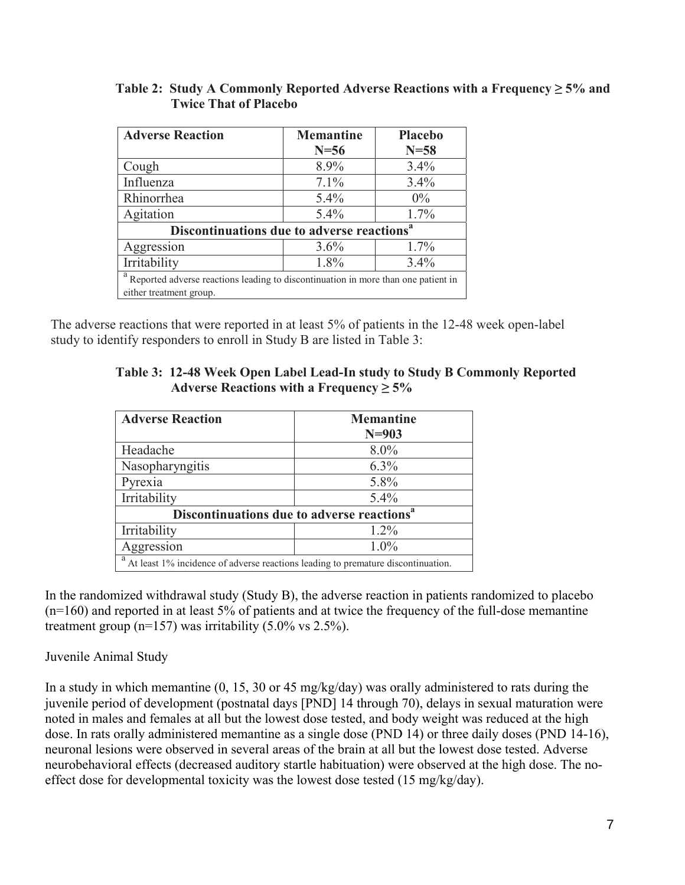| <b>Adverse Reaction</b>                                                           | <b>Memantine</b> | <b>Placebo</b> |  |
|-----------------------------------------------------------------------------------|------------------|----------------|--|
|                                                                                   | $N=56$           | $N=58$         |  |
| Cough                                                                             | 8.9%             | 3.4%           |  |
| Influenza                                                                         | 7.1%             | 3.4%           |  |
| Rhinorrhea                                                                        | 5.4%             | $0\%$          |  |
| Agitation                                                                         | 5.4%             | 1.7%           |  |
| Discontinuations due to adverse reactions <sup>a</sup>                            |                  |                |  |
| Aggression                                                                        | 3.6%             | $1.7\%$        |  |
| Irritability                                                                      | 1.8%             | 3.4%           |  |
| Reported adverse reactions leading to discontinuation in more than one patient in |                  |                |  |
| either treatment group.                                                           |                  |                |  |

#### **Table 2: Study A Commonly Reported Adverse Reactions with a Frequency ≥ 5% and Twice That of Placebo**

The adverse reactions that were reported in at least 5% of patients in the 12-48 week open-label study to identify responders to enroll in Study B are listed in Table 3:

|                                               | Table 3: 12-48 Week Open Label Lead-In study to Study B Commonly Reported |
|-----------------------------------------------|---------------------------------------------------------------------------|
| Adverse Reactions with a Frequency $\geq 5\%$ |                                                                           |

| <b>Adverse Reaction</b>                                                                                       | <b>Memantine</b><br>$N=903$ |  |
|---------------------------------------------------------------------------------------------------------------|-----------------------------|--|
| Headache                                                                                                      | $8.0\%$                     |  |
| Nasopharyngitis                                                                                               | 6.3%                        |  |
| Pyrexia                                                                                                       | 5.8%                        |  |
| Irritability                                                                                                  | 5.4%                        |  |
| Discontinuations due to adverse reactions <sup>a</sup>                                                        |                             |  |
| Irritability                                                                                                  | $1.2\%$                     |  |
| Aggression                                                                                                    | 1.0%                        |  |
| a<br>A referred HDZ to station in the first condition of the distribution of our distribution of the $\alpha$ |                             |  |

At least 1% incidence of adverse reactions leading to premature discontinuation.

In the randomized withdrawal study (Study B), the adverse reaction in patients randomized to placebo (n=160) and reported in at least 5% of patients and at twice the frequency of the full-dose memantine treatment group ( $n=157$ ) was irritability (5.0% vs 2.5%).

## Juvenile Animal Study

In a study in which memantine (0, 15, 30 or 45 mg/kg/day) was orally administered to rats during the juvenile period of development (postnatal days [PND] 14 through 70), delays in sexual maturation were noted in males and females at all but the lowest dose tested, and body weight was reduced at the high dose. In rats orally administered memantine as a single dose (PND 14) or three daily doses (PND 14-16), neuronal lesions were observed in several areas of the brain at all but the lowest dose tested. Adverse neurobehavioral effects (decreased auditory startle habituation) were observed at the high dose. The noeffect dose for developmental toxicity was the lowest dose tested (15 mg/kg/day).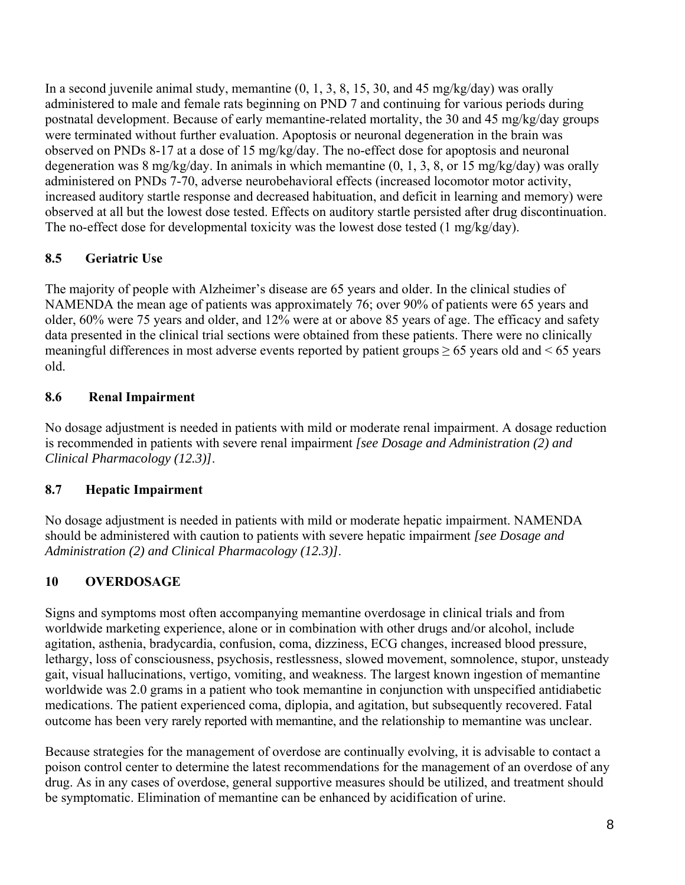In a second juvenile animal study, memantine  $(0, 1, 3, 8, 15, 30,$  and 45 mg/kg/day) was orally administered to male and female rats beginning on PND 7 and continuing for various periods during postnatal development. Because of early memantine-related mortality, the 30 and 45 mg/kg/day groups were terminated without further evaluation. Apoptosis or neuronal degeneration in the brain was observed on PNDs 8-17 at a dose of 15 mg/kg/day. The no-effect dose for apoptosis and neuronal degeneration was 8 mg/kg/day. In animals in which memantine (0, 1, 3, 8, or 15 mg/kg/day) was orally administered on PNDs 7-70, adverse neurobehavioral effects (increased locomotor motor activity, increased auditory startle response and decreased habituation, and deficit in learning and memory) were observed at all but the lowest dose tested. Effects on auditory startle persisted after drug discontinuation. The no-effect dose for developmental toxicity was the lowest dose tested (1 mg/kg/day).

# **8.5 Geriatric Use**

The majority of people with Alzheimer's disease are 65 years and older. In the clinical studies of NAMENDA the mean age of patients was approximately 76; over 90% of patients were 65 years and older, 60% were 75 years and older, and 12% were at or above 85 years of age. The efficacy and safety data presented in the clinical trial sections were obtained from these patients. There were no clinically meaningful differences in most adverse events reported by patient groups  $\geq 65$  years old and  $\leq 65$  years old.

# **8.6 Renal Impairment**

No dosage adjustment is needed in patients with mild or moderate renal impairment. A dosage reduction is recommended in patients with severe renal impairment *[see Dosage and Administration (2) and Clinical Pharmacology (12.3)]*.

# **8.7 Hepatic Impairment**

No dosage adjustment is needed in patients with mild or moderate hepatic impairment. NAMENDA should be administered with caution to patients with severe hepatic impairment *[see Dosage and Administration (2) and Clinical Pharmacology (12.3)]*.

# **10 OVERDOSAGE**

Signs and symptoms most often accompanying memantine overdosage in clinical trials and from worldwide marketing experience, alone or in combination with other drugs and/or alcohol, include agitation, asthenia, bradycardia, confusion, coma, dizziness, ECG changes, increased blood pressure, lethargy, loss of consciousness, psychosis, restlessness, slowed movement, somnolence, stupor, unsteady gait, visual hallucinations, vertigo, vomiting, and weakness. The largest known ingestion of memantine worldwide was 2.0 grams in a patient who took memantine in conjunction with unspecified antidiabetic medications. The patient experienced coma, diplopia, and agitation, but subsequently recovered. Fatal outcome has been very rarely reported with memantine, and the relationship to memantine was unclear.

Because strategies for the management of overdose are continually evolving, it is advisable to contact a poison control center to determine the latest recommendations for the management of an overdose of any drug. As in any cases of overdose, general supportive measures should be utilized, and treatment should be symptomatic. Elimination of memantine can be enhanced by acidification of urine.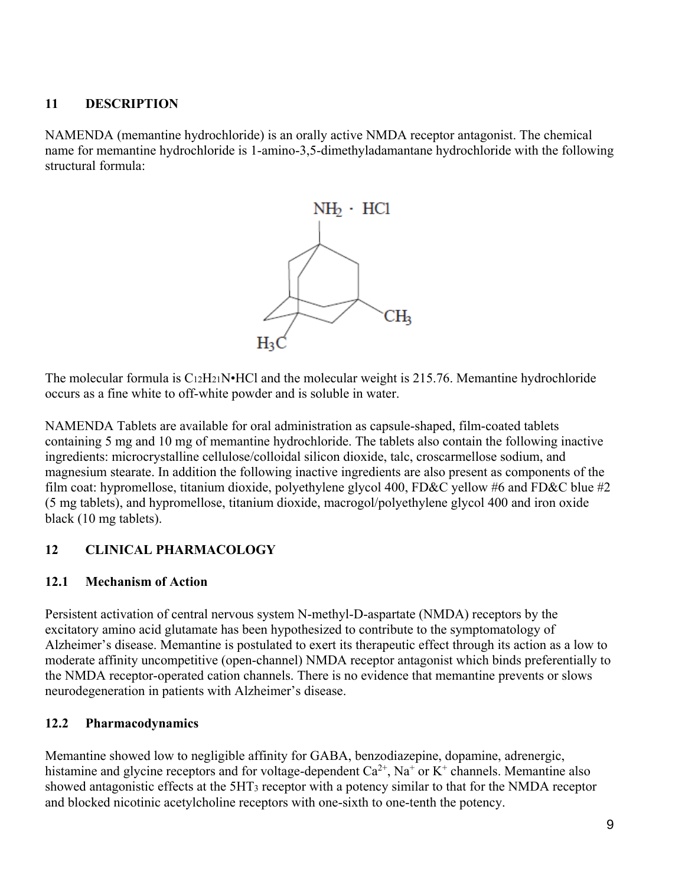## **11 DESCRIPTION**

NAMENDA (memantine hydrochloride) is an orally active NMDA receptor antagonist. The chemical name for memantine hydrochloride is 1-amino-3,5-dimethyladamantane hydrochloride with the following structural formula:



The molecular formula is  $C_{12}H_{21}N \cdot HCl$  and the molecular weight is 215.76. Memantine hydrochloride occurs as a fine white to off-white powder and is soluble in water.

NAMENDA Tablets are available for oral administration as capsule-shaped, film-coated tablets containing 5 mg and 10 mg of memantine hydrochloride. The tablets also contain the following inactive ingredients: microcrystalline cellulose/colloidal silicon dioxide, talc, croscarmellose sodium, and magnesium stearate. In addition the following inactive ingredients are also present as components of the film coat: hypromellose, titanium dioxide, polyethylene glycol 400, FD&C yellow #6 and FD&C blue #2 (5 mg tablets), and hypromellose, titanium dioxide, macrogol/polyethylene glycol 400 and iron oxide black (10 mg tablets).

# **12 CLINICAL PHARMACOLOGY**

## **12.1 Mechanism of Action**

Persistent activation of central nervous system N-methyl-D-aspartate (NMDA) receptors by the excitatory amino acid glutamate has been hypothesized to contribute to the symptomatology of Alzheimer's disease. Memantine is postulated to exert its therapeutic effect through its action as a low to moderate affinity uncompetitive (open-channel) NMDA receptor antagonist which binds preferentially to the NMDA receptor-operated cation channels. There is no evidence that memantine prevents or slows neurodegeneration in patients with Alzheimer's disease.

## **12.2 Pharmacodynamics**

Memantine showed low to negligible affinity for GABA, benzodiazepine, dopamine, adrenergic, histamine and glycine receptors and for voltage-dependent  $Ca^{2+}$ , Na<sup>+</sup> or K<sup>+</sup> channels. Memantine also showed antagonistic effects at the 5HT3 receptor with a potency similar to that for the NMDA receptor and blocked nicotinic acetylcholine receptors with one-sixth to one-tenth the potency.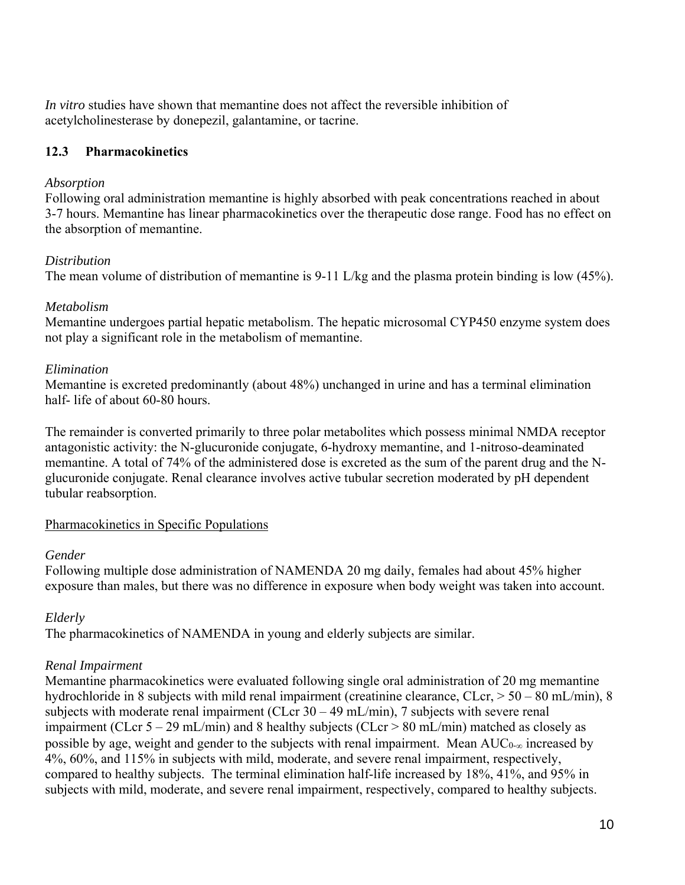*In vitro* studies have shown that memantine does not affect the reversible inhibition of acetylcholinesterase by donepezil, galantamine, or tacrine.

## **12.3 Pharmacokinetics**

#### *Absorption*

Following oral administration memantine is highly absorbed with peak concentrations reached in about 3-7 hours. Memantine has linear pharmacokinetics over the therapeutic dose range. Food has no effect on the absorption of memantine.

#### *Distribution*

The mean volume of distribution of memantine is 9-11 L/kg and the plasma protein binding is low (45%).

#### *Metabolism*

Memantine undergoes partial hepatic metabolism. The hepatic microsomal CYP450 enzyme system does not play a significant role in the metabolism of memantine.

#### *Elimination*

Memantine is excreted predominantly (about 48%) unchanged in urine and has a terminal elimination half- life of about 60-80 hours.

The remainder is converted primarily to three polar metabolites which possess minimal NMDA receptor antagonistic activity: the N-glucuronide conjugate, 6-hydroxy memantine, and 1-nitroso-deaminated memantine. A total of 74% of the administered dose is excreted as the sum of the parent drug and the Nglucuronide conjugate. Renal clearance involves active tubular secretion moderated by pH dependent tubular reabsorption.

#### Pharmacokinetics in Specific Populations

#### *Gender*

Following multiple dose administration of NAMENDA 20 mg daily, females had about 45% higher exposure than males, but there was no difference in exposure when body weight was taken into account.

## *Elderly*

The pharmacokinetics of NAMENDA in young and elderly subjects are similar.

#### *Renal Impairment*

Memantine pharmacokinetics were evaluated following single oral administration of 20 mg memantine hydrochloride in 8 subjects with mild renal impairment (creatinine clearance, CLcr,  $> 50 - 80$  mL/min), 8 subjects with moderate renal impairment (CLcr  $30 - 49$  mL/min), 7 subjects with severe renal impairment (CLcr  $5 - 29$  mL/min) and 8 healthy subjects (CLcr > 80 mL/min) matched as closely as possible by age, weight and gender to the subjects with renal impairment. Mean  $AUC_{0-\infty}$  increased by 4%, 60%, and 115% in subjects with mild, moderate, and severe renal impairment, respectively, compared to healthy subjects. The terminal elimination half-life increased by 18%, 41%, and 95% in subjects with mild, moderate, and severe renal impairment, respectively, compared to healthy subjects.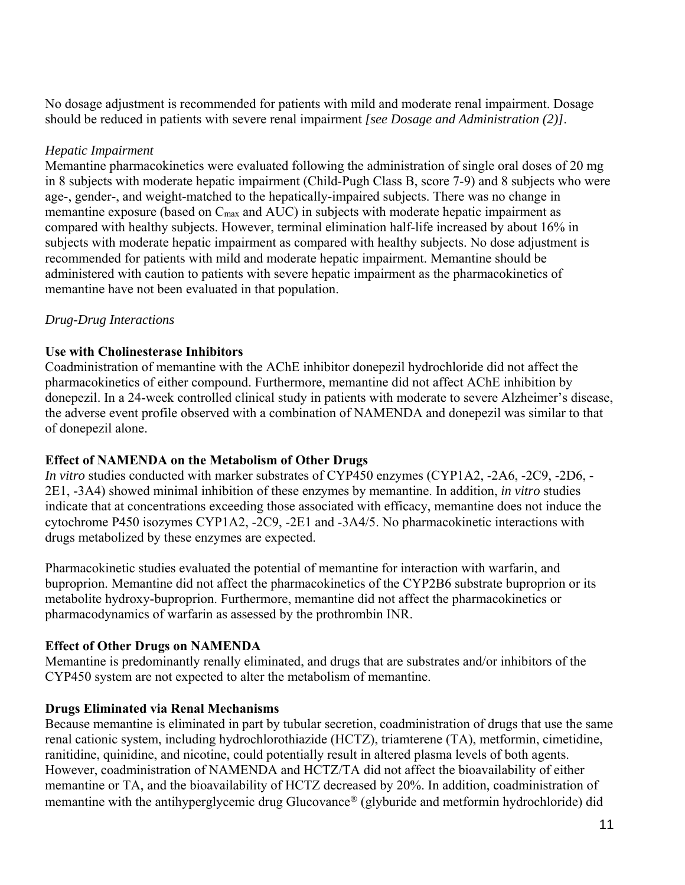No dosage adjustment is recommended for patients with mild and moderate renal impairment. Dosage should be reduced in patients with severe renal impairment *[see Dosage and Administration (2)]*.

#### *Hepatic Impairment*

Memantine pharmacokinetics were evaluated following the administration of single oral doses of 20 mg in 8 subjects with moderate hepatic impairment (Child-Pugh Class B, score 7-9) and 8 subjects who were age-, gender-, and weight-matched to the hepatically-impaired subjects. There was no change in memantine exposure (based on C<sub>max</sub> and AUC) in subjects with moderate hepatic impairment as compared with healthy subjects. However, terminal elimination half-life increased by about 16% in subjects with moderate hepatic impairment as compared with healthy subjects. No dose adjustment is recommended for patients with mild and moderate hepatic impairment. Memantine should be administered with caution to patients with severe hepatic impairment as the pharmacokinetics of memantine have not been evaluated in that population.

#### *Drug-Drug Interactions*

#### **Use with Cholinesterase Inhibitors**

Coadministration of memantine with the AChE inhibitor donepezil hydrochloride did not affect the pharmacokinetics of either compound. Furthermore, memantine did not affect AChE inhibition by donepezil. In a 24-week controlled clinical study in patients with moderate to severe Alzheimer's disease, the adverse event profile observed with a combination of NAMENDA and donepezil was similar to that of donepezil alone.

## **Effect of NAMENDA on the Metabolism of Other Drugs**

*In vitro* studies conducted with marker substrates of CYP450 enzymes (CYP1A2, -2A6, -2C9, -2D6, - 2E1, -3A4) showed minimal inhibition of these enzymes by memantine. In addition, *in vitro* studies indicate that at concentrations exceeding those associated with efficacy, memantine does not induce the cytochrome P450 isozymes CYP1A2, -2C9, -2E1 and -3A4/5. No pharmacokinetic interactions with drugs metabolized by these enzymes are expected.

Pharmacokinetic studies evaluated the potential of memantine for interaction with warfarin, and buproprion. Memantine did not affect the pharmacokinetics of the CYP2B6 substrate buproprion or its metabolite hydroxy-buproprion. Furthermore, memantine did not affect the pharmacokinetics or pharmacodynamics of warfarin as assessed by the prothrombin INR.

## **Effect of Other Drugs on NAMENDA**

Memantine is predominantly renally eliminated, and drugs that are substrates and/or inhibitors of the CYP450 system are not expected to alter the metabolism of memantine.

## **Drugs Eliminated via Renal Mechanisms**

Because memantine is eliminated in part by tubular secretion, coadministration of drugs that use the same renal cationic system, including hydrochlorothiazide (HCTZ), triamterene (TA), metformin, cimetidine, ranitidine, quinidine, and nicotine, could potentially result in altered plasma levels of both agents. However, coadministration of NAMENDA and HCTZ/TA did not affect the bioavailability of either memantine or TA, and the bioavailability of HCTZ decreased by 20%. In addition, coadministration of memantine with the antihyperglycemic drug Glucovance<sup>®</sup> (glyburide and metformin hydrochloride) did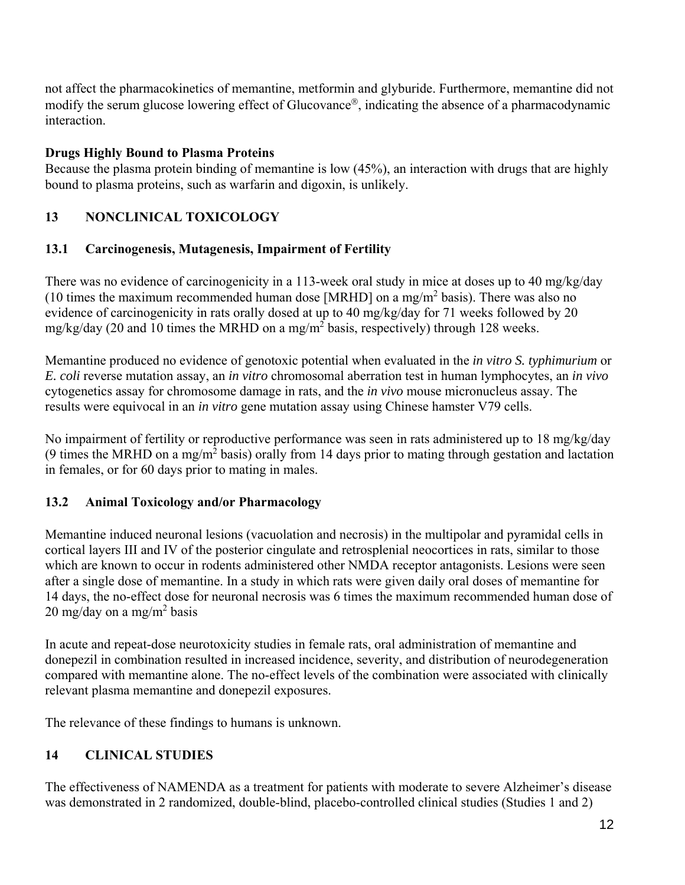not affect the pharmacokinetics of memantine, metformin and glyburide. Furthermore, memantine did not modify the serum glucose lowering effect of Glucovance<sup>®</sup>, indicating the absence of a pharmacodynamic interaction.

# **Drugs Highly Bound to Plasma Proteins**

Because the plasma protein binding of memantine is low (45%), an interaction with drugs that are highly bound to plasma proteins, such as warfarin and digoxin, is unlikely.

# **13 NONCLINICAL TOXICOLOGY**

# **13.1 Carcinogenesis, Mutagenesis, Impairment of Fertility**

There was no evidence of carcinogenicity in a 113-week oral study in mice at doses up to 40 mg/kg/day (10 times the maximum recommended human dose [MRHD] on a mg/m<sup>2</sup> basis). There was also no evidence of carcinogenicity in rats orally dosed at up to 40 mg/kg/day for 71 weeks followed by 20 mg/kg/day (20 and 10 times the MRHD on a mg/m<sup>2</sup> basis, respectively) through 128 weeks.

Memantine produced no evidence of genotoxic potential when evaluated in the *in vitro S. typhimurium* or *E. coli* reverse mutation assay, an *in vitro* chromosomal aberration test in human lymphocytes, an *in vivo* cytogenetics assay for chromosome damage in rats, and the *in vivo* mouse micronucleus assay. The results were equivocal in an *in vitro* gene mutation assay using Chinese hamster V79 cells.

No impairment of fertility or reproductive performance was seen in rats administered up to 18 mg/kg/day (9 times the MRHD on a mg/m<sup>2</sup> basis) orally from 14 days prior to mating through gestation and lactation in females, or for 60 days prior to mating in males.

# **13.2 Animal Toxicology and/or Pharmacology**

Memantine induced neuronal lesions (vacuolation and necrosis) in the multipolar and pyramidal cells in cortical layers III and IV of the posterior cingulate and retrosplenial neocortices in rats, similar to those which are known to occur in rodents administered other NMDA receptor antagonists. Lesions were seen after a single dose of memantine. In a study in which rats were given daily oral doses of memantine for 14 days, the no-effect dose for neuronal necrosis was 6 times the maximum recommended human dose of  $20 \text{ mg/day}$  on a mg/m<sup>2</sup> basis

In acute and repeat-dose neurotoxicity studies in female rats, oral administration of memantine and donepezil in combination resulted in increased incidence, severity, and distribution of neurodegeneration compared with memantine alone. The no-effect levels of the combination were associated with clinically relevant plasma memantine and donepezil exposures.

The relevance of these findings to humans is unknown.

# **14 CLINICAL STUDIES**

The effectiveness of NAMENDA as a treatment for patients with moderate to severe Alzheimer's disease was demonstrated in 2 randomized, double-blind, placebo-controlled clinical studies (Studies 1 and 2)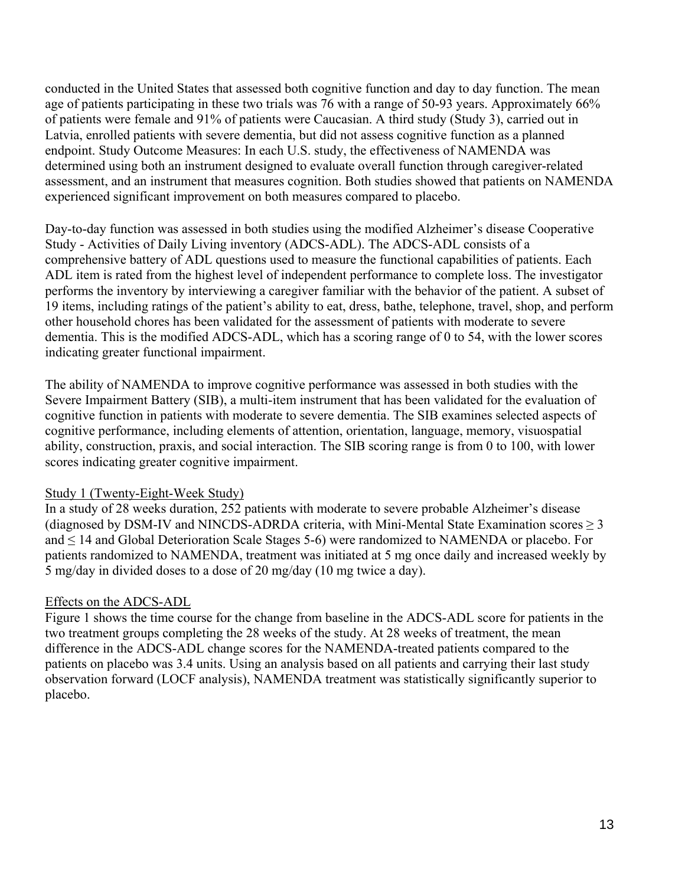conducted in the United States that assessed both cognitive function and day to day function. The mean age of patients participating in these two trials was 76 with a range of 50-93 years. Approximately 66% of patients were female and 91% of patients were Caucasian. A third study (Study 3), carried out in Latvia, enrolled patients with severe dementia, but did not assess cognitive function as a planned endpoint. Study Outcome Measures: In each U.S. study, the effectiveness of NAMENDA was determined using both an instrument designed to evaluate overall function through caregiver-related assessment, and an instrument that measures cognition. Both studies showed that patients on NAMENDA experienced significant improvement on both measures compared to placebo.

Day-to-day function was assessed in both studies using the modified Alzheimer's disease Cooperative Study - Activities of Daily Living inventory (ADCS-ADL). The ADCS-ADL consists of a comprehensive battery of ADL questions used to measure the functional capabilities of patients. Each ADL item is rated from the highest level of independent performance to complete loss. The investigator performs the inventory by interviewing a caregiver familiar with the behavior of the patient. A subset of 19 items, including ratings of the patient's ability to eat, dress, bathe, telephone, travel, shop, and perform other household chores has been validated for the assessment of patients with moderate to severe dementia. This is the modified ADCS-ADL, which has a scoring range of 0 to 54, with the lower scores indicating greater functional impairment.

The ability of NAMENDA to improve cognitive performance was assessed in both studies with the Severe Impairment Battery (SIB), a multi-item instrument that has been validated for the evaluation of cognitive function in patients with moderate to severe dementia. The SIB examines selected aspects of cognitive performance, including elements of attention, orientation, language, memory, visuospatial ability, construction, praxis, and social interaction. The SIB scoring range is from 0 to 100, with lower scores indicating greater cognitive impairment.

#### Study 1 (Twenty-Eight-Week Study)

In a study of 28 weeks duration, 252 patients with moderate to severe probable Alzheimer's disease (diagnosed by DSM-IV and NINCDS-ADRDA criteria, with Mini-Mental State Examination scores ≥ 3 and ≤ 14 and Global Deterioration Scale Stages 5-6) were randomized to NAMENDA or placebo. For patients randomized to NAMENDA, treatment was initiated at 5 mg once daily and increased weekly by 5 mg/day in divided doses to a dose of 20 mg/day (10 mg twice a day).

## Effects on the ADCS-ADL

Figure 1 shows the time course for the change from baseline in the ADCS-ADL score for patients in the two treatment groups completing the 28 weeks of the study. At 28 weeks of treatment, the mean difference in the ADCS-ADL change scores for the NAMENDA-treated patients compared to the patients on placebo was 3.4 units. Using an analysis based on all patients and carrying their last study observation forward (LOCF analysis), NAMENDA treatment was statistically significantly superior to placebo.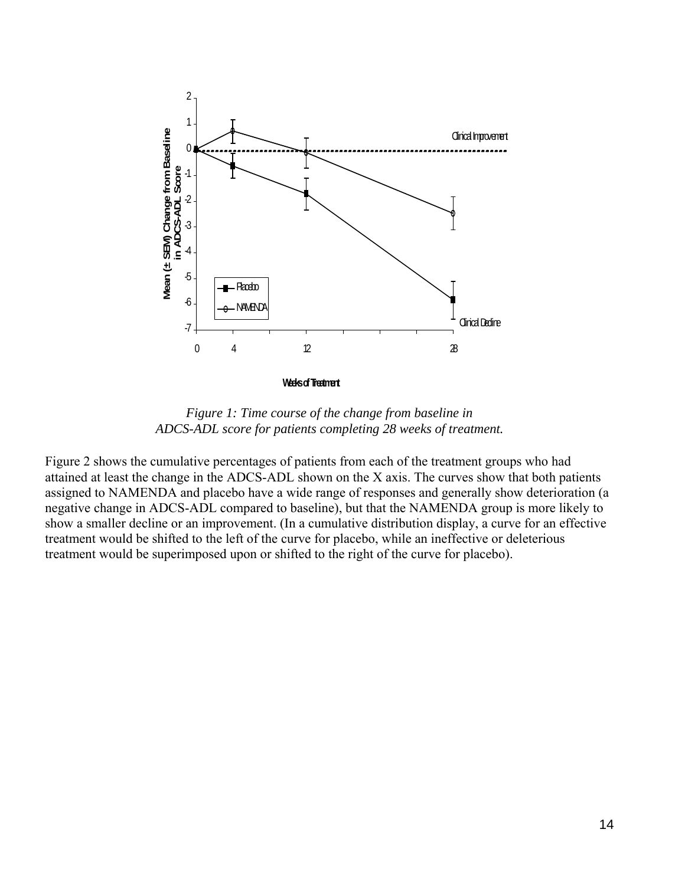

*Figure 1: Time course of the change from baseline in ADCS-ADL score for patients completing 28 weeks of treatment.* 

Figure 2 shows the cumulative percentages of patients from each of the treatment groups who had attained at least the change in the ADCS-ADL shown on the X axis. The curves show that both patients assigned to NAMENDA and placebo have a wide range of responses and generally show deterioration (a negative change in ADCS-ADL compared to baseline), but that the NAMENDA group is more likely to show a smaller decline or an improvement. (In a cumulative distribution display, a curve for an effective treatment would be shifted to the left of the curve for placebo, while an ineffective or deleterious treatment would be superimposed upon or shifted to the right of the curve for placebo).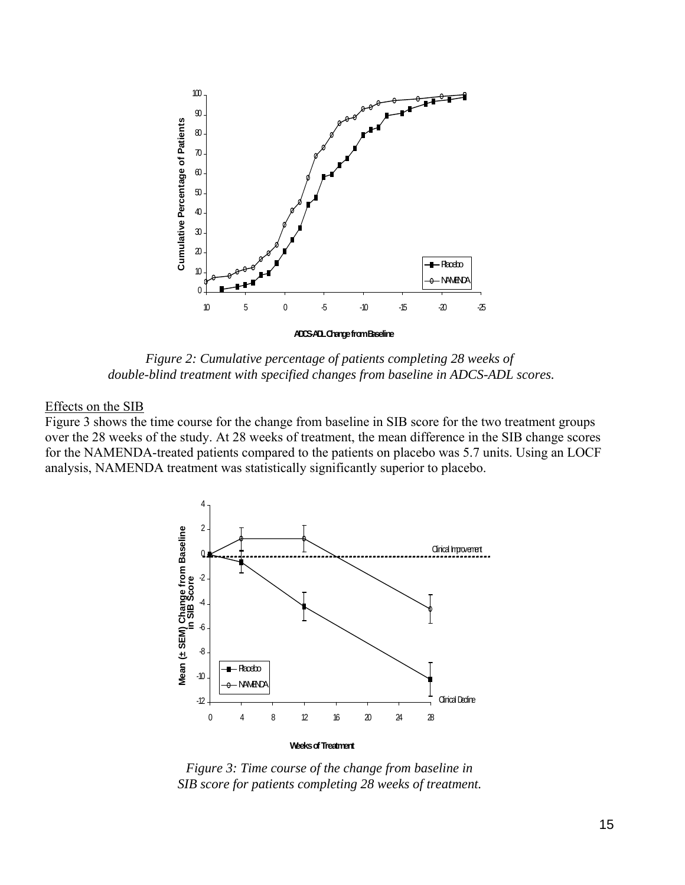

*Figure 2: Cumulative percentage of patients completing 28 weeks of double-blind treatment with specified changes from baseline in ADCS-ADL scores.* 

#### Effects on the SIB

Figure 3 shows the time course for the change from baseline in SIB score for the two treatment groups over the 28 weeks of the study. At 28 weeks of treatment, the mean difference in the SIB change scores for the NAMENDA-treated patients compared to the patients on placebo was 5.7 units. Using an LOCF analysis, NAMENDA treatment was statistically significantly superior to placebo.



*Figure 3: Time course of the change from baseline in SIB score for patients completing 28 weeks of treatment.*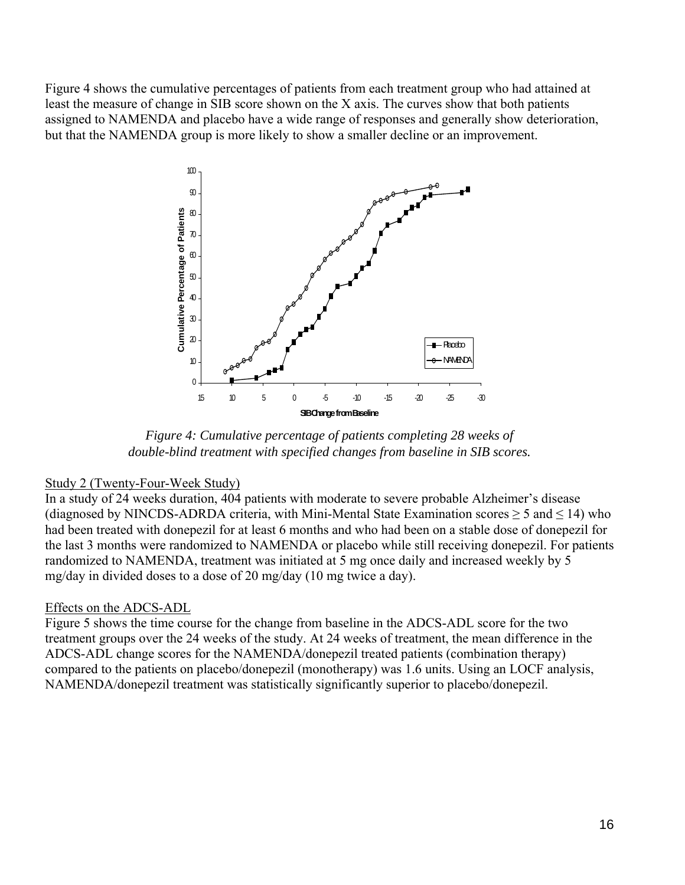Figure 4 shows the cumulative percentages of patients from each treatment group who had attained at least the measure of change in SIB score shown on the X axis. The curves show that both patients assigned to NAMENDA and placebo have a wide range of responses and generally show deterioration, but that the NAMENDA group is more likely to show a smaller decline or an improvement.



*Figure 4: Cumulative percentage of patients completing 28 weeks of double-blind treatment with specified changes from baseline in SIB scores.*

#### Study 2 (Twenty-Four-Week Study)

In a study of 24 weeks duration, 404 patients with moderate to severe probable Alzheimer's disease (diagnosed by NINCDS-ADRDA criteria, with Mini-Mental State Examination scores  $\geq 5$  and  $\leq 14$ ) who had been treated with donepezil for at least 6 months and who had been on a stable dose of donepezil for the last 3 months were randomized to NAMENDA or placebo while still receiving donepezil. For patients randomized to NAMENDA, treatment was initiated at 5 mg once daily and increased weekly by 5 mg/day in divided doses to a dose of 20 mg/day (10 mg twice a day).

#### Effects on the ADCS-ADL

Figure 5 shows the time course for the change from baseline in the ADCS-ADL score for the two treatment groups over the 24 weeks of the study. At 24 weeks of treatment, the mean difference in the ADCS-ADL change scores for the NAMENDA/donepezil treated patients (combination therapy) compared to the patients on placebo/donepezil (monotherapy) was 1.6 units. Using an LOCF analysis, NAMENDA/donepezil treatment was statistically significantly superior to placebo/donepezil.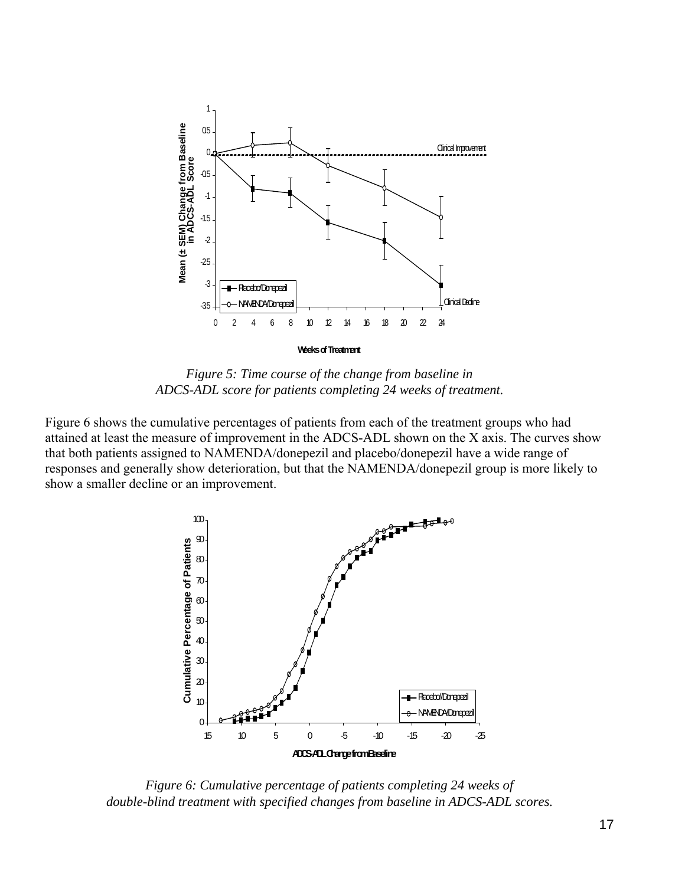

*Figure 5: Time course of the change from baseline in ADCS-ADL score for patients completing 24 weeks of treatment.*

Figure 6 shows the cumulative percentages of patients from each of the treatment groups who had attained at least the measure of improvement in the ADCS-ADL shown on the X axis. The curves show that both patients assigned to NAMENDA/donepezil and placebo/donepezil have a wide range of responses and generally show deterioration, but that the NAMENDA/donepezil group is more likely to show a smaller decline or an improvement.



*Figure 6: Cumulative percentage of patients completing 24 weeks of double-blind treatment with specified changes from baseline in ADCS-ADL scores.*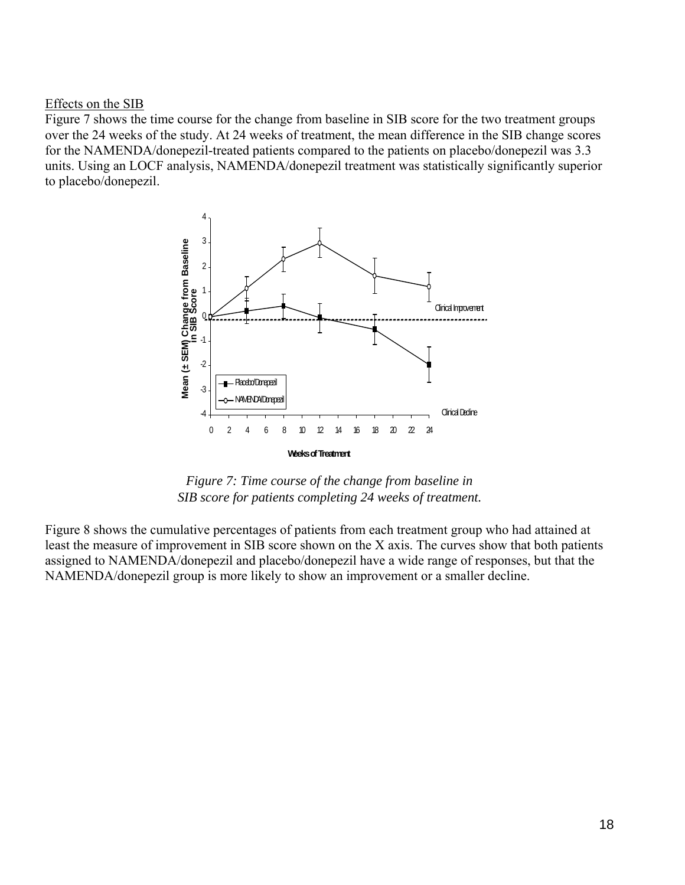#### Effects on the SIB

Figure 7 shows the time course for the change from baseline in SIB score for the two treatment groups over the 24 weeks of the study. At 24 weeks of treatment, the mean difference in the SIB change scores for the NAMENDA/donepezil-treated patients compared to the patients on placebo/donepezil was 3.3 units. Using an LOCF analysis, NAMENDA/donepezil treatment was statistically significantly superior to placebo/donepezil.



*Figure 7: Time course of the change from baseline in SIB score for patients completing 24 weeks of treatment.*

Figure 8 shows the cumulative percentages of patients from each treatment group who had attained at least the measure of improvement in SIB score shown on the X axis. The curves show that both patients assigned to NAMENDA/donepezil and placebo/donepezil have a wide range of responses, but that the NAMENDA/donepezil group is more likely to show an improvement or a smaller decline.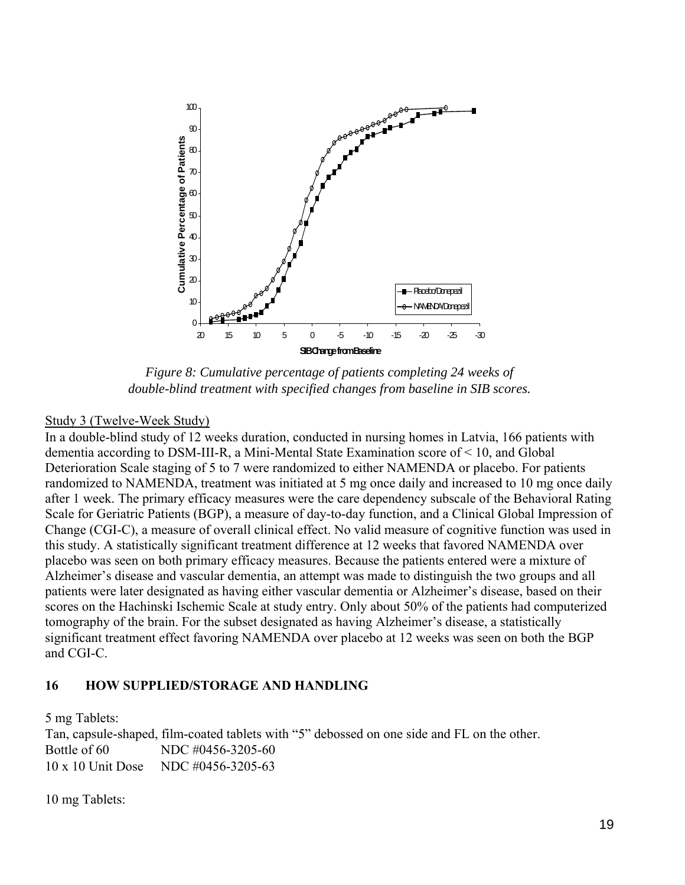

*Figure 8: Cumulative percentage of patients completing 24 weeks of double-blind treatment with specified changes from baseline in SIB scores.* 

#### Study 3 (Twelve-Week Study)

In a double-blind study of 12 weeks duration, conducted in nursing homes in Latvia, 166 patients with dementia according to DSM-III-R, a Mini-Mental State Examination score of < 10, and Global Deterioration Scale staging of 5 to 7 were randomized to either NAMENDA or placebo. For patients randomized to NAMENDA, treatment was initiated at 5 mg once daily and increased to 10 mg once daily after 1 week. The primary efficacy measures were the care dependency subscale of the Behavioral Rating Scale for Geriatric Patients (BGP), a measure of day-to-day function, and a Clinical Global Impression of Change (CGI-C), a measure of overall clinical effect. No valid measure of cognitive function was used in this study. A statistically significant treatment difference at 12 weeks that favored NAMENDA over placebo was seen on both primary efficacy measures. Because the patients entered were a mixture of Alzheimer's disease and vascular dementia, an attempt was made to distinguish the two groups and all patients were later designated as having either vascular dementia or Alzheimer's disease, based on their scores on the Hachinski Ischemic Scale at study entry. Only about 50% of the patients had computerized tomography of the brain. For the subset designated as having Alzheimer's disease, a statistically significant treatment effect favoring NAMENDA over placebo at 12 weeks was seen on both the BGP and CGI-C.

#### **16 HOW SUPPLIED/STORAGE AND HANDLING**

5 mg Tablets:

Tan, capsule-shaped, film-coated tablets with "5" debossed on one side and FL on the other. Bottle of 60 NDC #0456-3205-60 10 x 10 Unit Dose NDC #0456-3205-63

10 mg Tablets: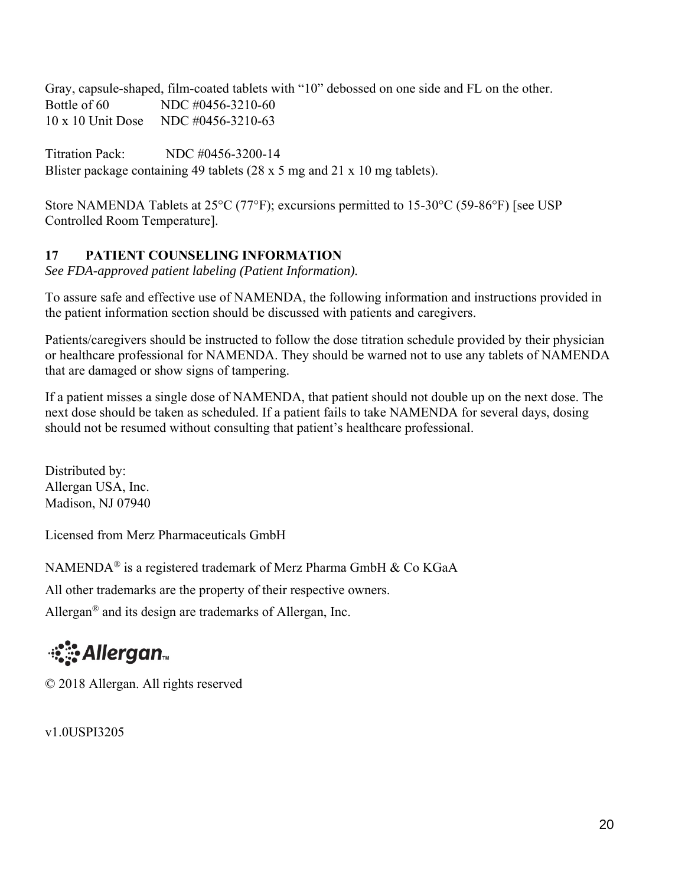Gray, capsule-shaped, film-coated tablets with "10" debossed on one side and FL on the other. Bottle of 60 NDC #0456-3210-60 10 x 10 Unit Dose NDC #0456-3210-63

Titration Pack: NDC #0456-3200-14 Blister package containing 49 tablets (28 x 5 mg and 21 x 10 mg tablets).

Store NAMENDA Tablets at 25°C (77°F); excursions permitted to 15-30°C (59-86°F) [see USP Controlled Room Temperature].

# **17 PATIENT COUNSELING INFORMATION**

*See FDA-approved patient labeling (Patient Information).* 

To assure safe and effective use of NAMENDA, the following information and instructions provided in the patient information section should be discussed with patients and caregivers.

Patients/caregivers should be instructed to follow the dose titration schedule provided by their physician or healthcare professional for NAMENDA. They should be warned not to use any tablets of NAMENDA that are damaged or show signs of tampering.

If a patient misses a single dose of NAMENDA, that patient should not double up on the next dose. The next dose should be taken as scheduled. If a patient fails to take NAMENDA for several days, dosing should not be resumed without consulting that patient's healthcare professional.

Distributed by: Allergan USA, Inc. Madison, NJ 07940

Licensed from Merz Pharmaceuticals GmbH

NAMENDA® is a registered trademark of Merz Pharma GmbH & Co KGaA

All other trademarks are the property of their respective owners.

Allergan<sup>®</sup> and its design are trademarks of Allergan, Inc.

# ं**ै**: Allergan

© 2018 Allergan. All rights reserved

v1.0USPI3205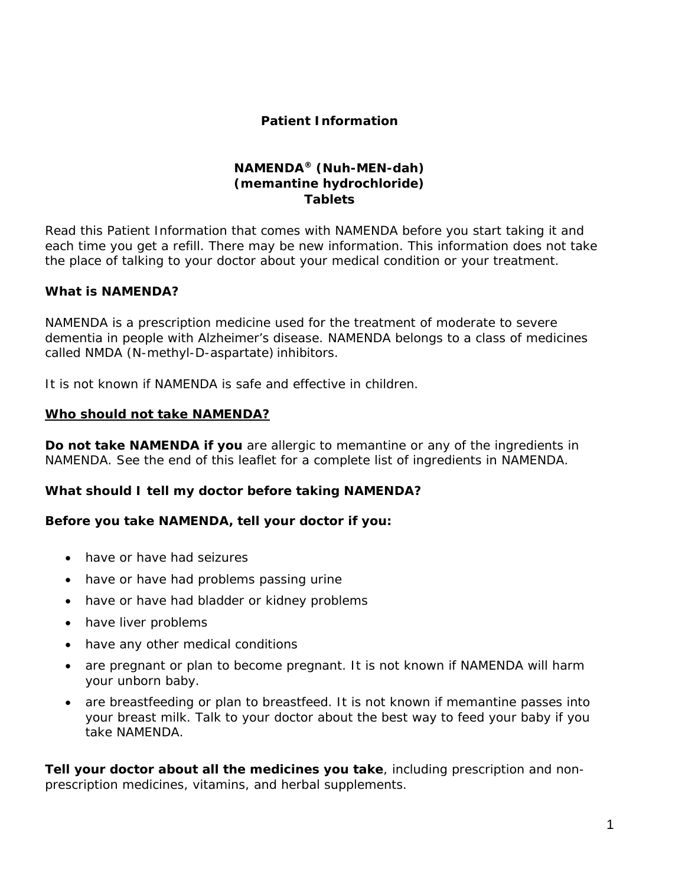#### **Patient Information**

#### **NAMENDA® (Nuh-MEN-dah) (memantine hydrochloride) Tablets**

Read this Patient Information that comes with NAMENDA before you start taking it and each time you get a refill. There may be new information. This information does not take the place of talking to your doctor about your medical condition or your treatment.

#### **What is NAMENDA?**

NAMENDA is a prescription medicine used for the treatment of moderate to severe dementia in people with Alzheimer's disease. NAMENDA belongs to a class of medicines called NMDA (N-methyl-D-aspartate) inhibitors.

It is not known if NAMENDA is safe and effective in children.

#### **Who should not take NAMENDA?**

**Do not take NAMENDA if you** are allergic to memantine or any of the ingredients in NAMENDA. See the end of this leaflet for a complete list of ingredients in NAMENDA.

#### **What should I tell my doctor before taking NAMENDA?**

#### **Before you take NAMENDA, tell your doctor if you:**

- have or have had seizures
- have or have had problems passing urine
- have or have had bladder or kidney problems
- have liver problems
- have any other medical conditions
- are pregnant or plan to become pregnant. It is not known if NAMENDA will harm your unborn baby.
- are breastfeeding or plan to breastfeed. It is not known if memantine passes into your breast milk. Talk to your doctor about the best way to feed your baby if you take NAMENDA.

**Tell your doctor about all the medicines you take**, including prescription and nonprescription medicines, vitamins, and herbal supplements.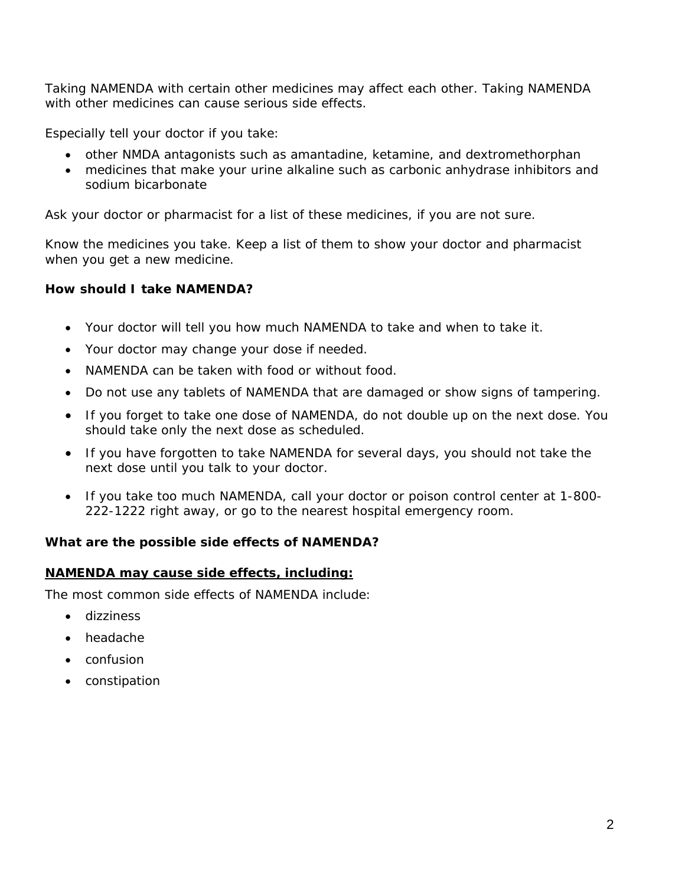Taking NAMENDA with certain other medicines may affect each other. Taking NAMENDA with other medicines can cause serious side effects.

Especially tell your doctor if you take:

- other NMDA antagonists such as amantadine, ketamine, and dextromethorphan
- medicines that make your urine alkaline such as carbonic anhydrase inhibitors and sodium bicarbonate

Ask your doctor or pharmacist for a list of these medicines, if you are not sure.

Know the medicines you take. Keep a list of them to show your doctor and pharmacist when you get a new medicine.

## **How should I take NAMENDA?**

- Your doctor will tell you how much NAMENDA to take and when to take it.
- Your doctor may change your dose if needed.
- NAMENDA can be taken with food or without food.
- Do not use any tablets of NAMENDA that are damaged or show signs of tampering.
- If you forget to take one dose of NAMENDA, do not double up on the next dose. You should take only the next dose as scheduled.
- If you have forgotten to take NAMENDA for several days, you should not take the next dose until you talk to your doctor.
- If you take too much NAMENDA, call your doctor or poison control center at 1-800- 222-1222 right away, or go to the nearest hospital emergency room.

## **What are the possible side effects of NAMENDA?**

#### **NAMENDA may cause side effects, including:**

The most common side effects of NAMENDA include:

- dizziness
- headache
- confusion
- constipation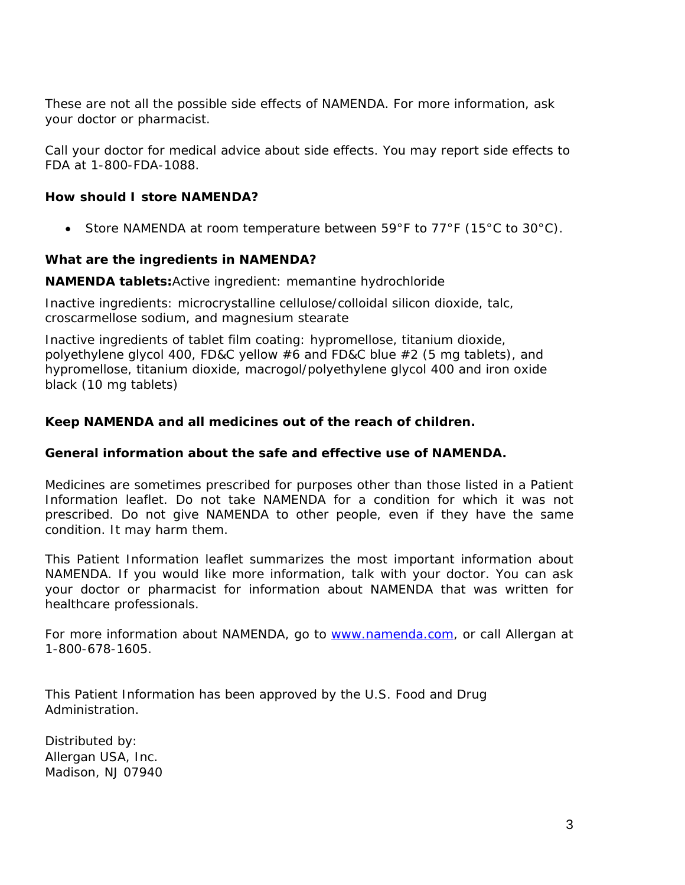These are not all the possible side effects of NAMENDA. For more information, ask your doctor or pharmacist.

Call your doctor for medical advice about side effects. You may report side effects to FDA at 1-800-FDA-1088.

#### **How should I store NAMENDA?**

Store NAMENDA at room temperature between  $59^{\circ}F$  to  $77^{\circ}F$  (15°C to  $30^{\circ}C$ ).

#### **What are the ingredients in NAMENDA?**

**NAMENDA tablets:**Active ingredient: memantine hydrochloride

Inactive ingredients: microcrystalline cellulose/colloidal silicon dioxide, talc, croscarmellose sodium, and magnesium stearate

Inactive ingredients of tablet film coating: hypromellose, titanium dioxide, polyethylene glycol 400, FD&C yellow #6 and FD&C blue #2 (5 mg tablets), and hypromellose, titanium dioxide, macrogol/polyethylene glycol 400 and iron oxide black (10 mg tablets)

#### **Keep NAMENDA and all medicines out of the reach of children.**

#### **General information about the safe and effective use of NAMENDA.**

Medicines are sometimes prescribed for purposes other than those listed in a Patient Information leaflet. Do not take NAMENDA for a condition for which it was not prescribed. Do not give NAMENDA to other people, even if they have the same condition. It may harm them.

This Patient Information leaflet summarizes the most important information about NAMENDA. If you would like more information, talk with your doctor. You can ask your doctor or pharmacist for information about NAMENDA that was written for healthcare professionals.

For more information about NAMENDA, go to www.namenda.com, or call Allergan at 1-800-678-1605.

This Patient Information has been approved by the U.S. Food and Drug Administration.

Distributed by: Allergan USA, Inc. Madison, NJ 07940